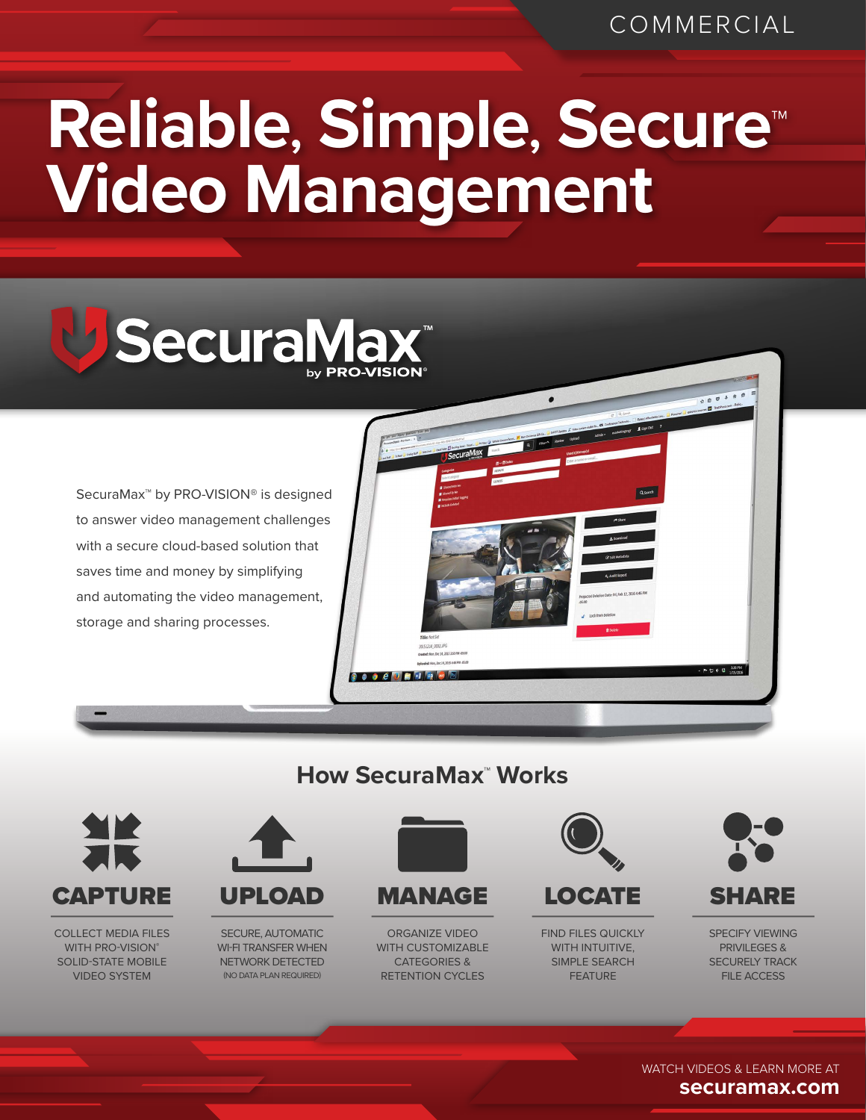## **Reliable, Simple, Secure™ Video Management**



SecuraMax™ by PRO-VISION® is designed to answer video management challenges with a secure cloud-based solution that saves time and money by simplifying and automating the video management, storage and sharing processes.



## **How SecuraMax™ Works**



COLLECT MEDIA FILES WITH PRO-VISION® SOLID-STATE MOBILE VIDEO SYSTEM



SECURE, AUTOMATIC WI-FI TRANSFER WHEN NETWORK DETECTED (NO DATA PLAN REQUIRED)



MANAGE

ORGANIZE VIDEO WITH CUSTOMIZABLE CATEGORIES & RETENTION CYCLES



LOCATE

FIND FILES QUICKLY WITH INTUITIVE, SIMPLE SEARCH FEATURE



SPECIFY VIEWING **PRIVIL FGFS &** SECURELY TRACK FILE ACCESS

WATCH VIDEOS & LEARN MORE AT **securamax.com**